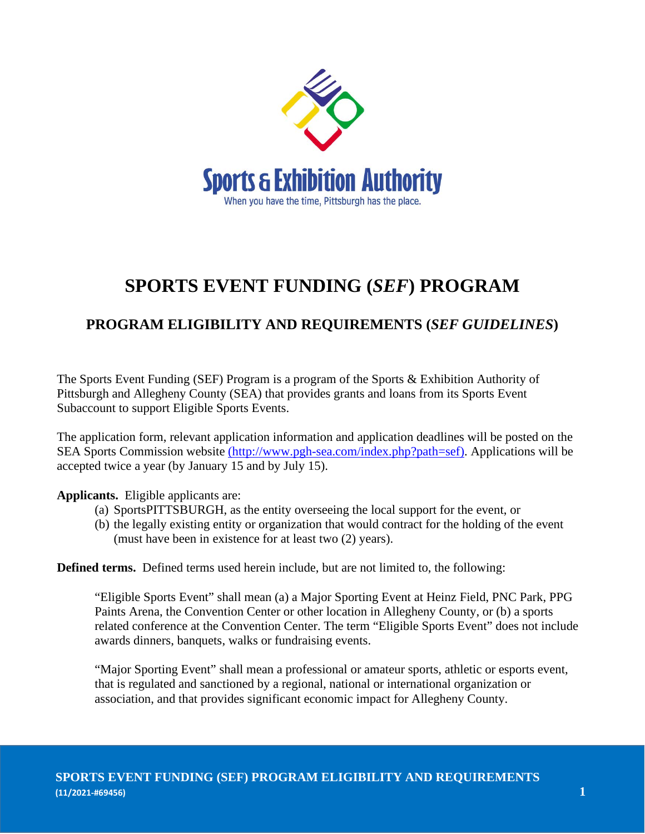

## **SPORTS EVENT FUNDING (***SEF***) PROGRAM**

## **PROGRAM ELIGIBILITY AND REQUIREMENTS (***SEF GUIDELINES***)**

The Sports Event Funding (SEF) Program is a program of the Sports & Exhibition Authority of Pittsburgh and Allegheny County (SEA) that provides grants and loans from its Sports Event Subaccount to support Eligible Sports Events.

The application form, relevant application information and application deadlines will be posted on the SEA Sports Commission website (http://www.pgh-sea.com/index.php?path=sef). Applications will be accepted twice a year (by January 15 and by July 15).

**Applicants.** Eligible applicants are:

- (a) SportsPITTSBURGH, as the entity overseeing the local support for the event, or
- (b) the legally existing entity or organization that would contract for the holding of the event (must have been in existence for at least two (2) years).

**Defined terms.** Defined terms used herein include, but are not limited to, the following:

"Eligible Sports Event" shall mean (a) a Major Sporting Event at Heinz Field, PNC Park, PPG Paints Arena, the Convention Center or other location in Allegheny County, or (b) a sports related conference at the Convention Center. The term "Eligible Sports Event" does not include awards dinners, banquets, walks or fundraising events.

"Major Sporting Event" shall mean a professional or amateur sports, athletic or esports event, that is regulated and sanctioned by a regional, national or international organization or association, and that provides significant economic impact for Allegheny County.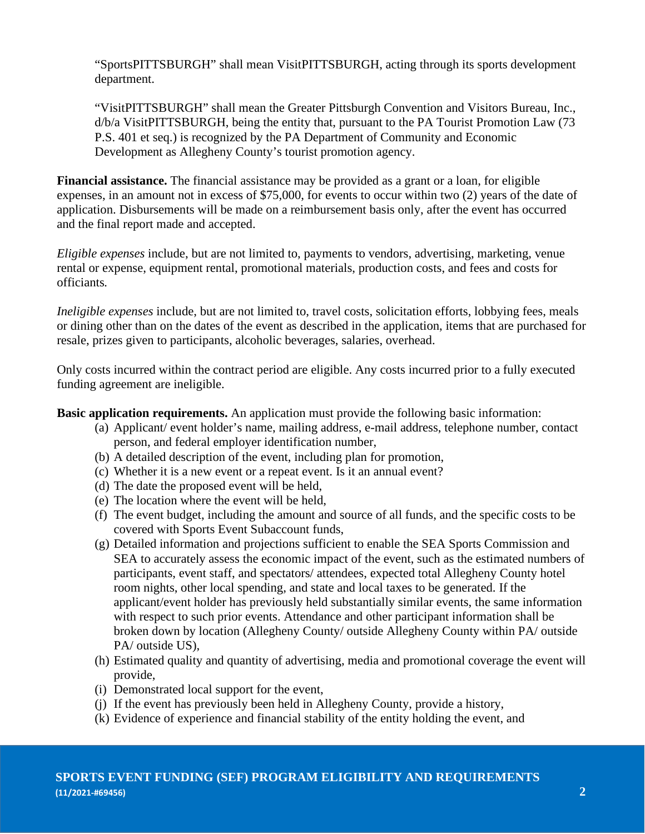"SportsPITTSBURGH" shall mean VisitPITTSBURGH, acting through its sports development department.

"VisitPITTSBURGH" shall mean the Greater Pittsburgh Convention and Visitors Bureau, Inc., d/b/a VisitPITTSBURGH, being the entity that, pursuant to the PA Tourist Promotion Law (73 P.S. 401 et seq.) is recognized by the PA Department of Community and Economic Development as Allegheny County's tourist promotion agency.

**Financial assistance.** The financial assistance may be provided as a grant or a loan, for eligible expenses, in an amount not in excess of \$75,000, for events to occur within two (2) years of the date of application. Disbursements will be made on a reimbursement basis only, after the event has occurred and the final report made and accepted.

*Eligible expenses* include, but are not limited to, payments to vendors, advertising, marketing, venue rental or expense, equipment rental, promotional materials, production costs, and fees and costs for officiants*.*

*Ineligible expenses* include, but are not limited to, travel costs, solicitation efforts, lobbying fees, meals or dining other than on the dates of the event as described in the application, items that are purchased for resale, prizes given to participants, alcoholic beverages, salaries, overhead.

Only costs incurred within the contract period are eligible. Any costs incurred prior to a fully executed funding agreement are ineligible.

**Basic application requirements.** An application must provide the following basic information:

- (a) Applicant/ event holder's name, mailing address, e-mail address, telephone number, contact person, and federal employer identification number,
- (b) A detailed description of the event, including plan for promotion,
- (c) Whether it is a new event or a repeat event. Is it an annual event?
- (d) The date the proposed event will be held,
- (e) The location where the event will be held,
- (f) The event budget, including the amount and source of all funds, and the specific costs to be covered with Sports Event Subaccount funds,
- (g) Detailed information and projections sufficient to enable the SEA Sports Commission and SEA to accurately assess the economic impact of the event, such as the estimated numbers of participants, event staff, and spectators/ attendees, expected total Allegheny County hotel room nights, other local spending, and state and local taxes to be generated. If the applicant/event holder has previously held substantially similar events, the same information with respect to such prior events. Attendance and other participant information shall be broken down by location (Allegheny County/ outside Allegheny County within PA/ outside PA/ outside US),
- (h) Estimated quality and quantity of advertising, media and promotional coverage the event will provide,
- (i) Demonstrated local support for the event,
- (j) If the event has previously been held in Allegheny County, provide a history,
- (k) Evidence of experience and financial stability of the entity holding the event, and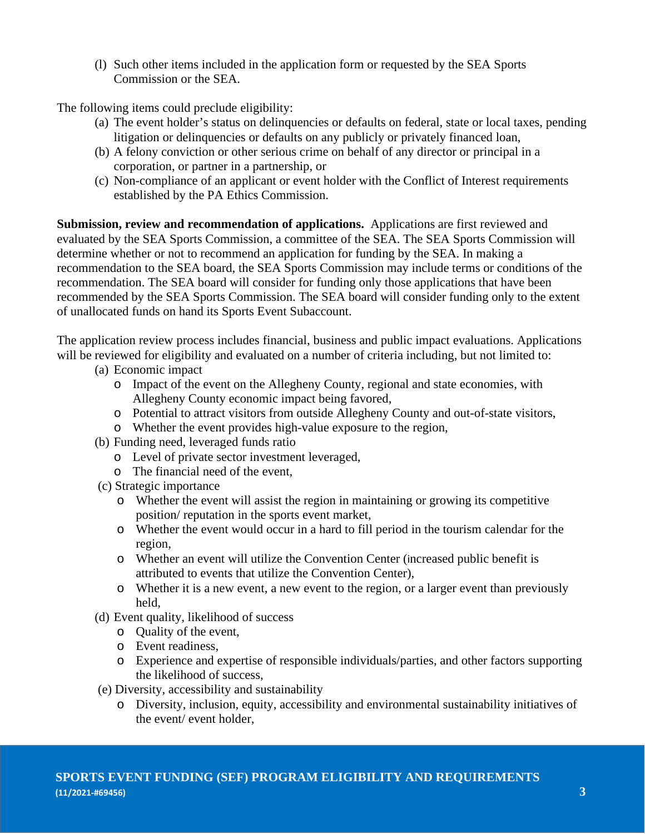(l) Such other items included in the application form or requested by the SEA Sports Commission or the SEA.

The following items could preclude eligibility:

- (a) The event holder's status on delinquencies or defaults on federal, state or local taxes, pending litigation or delinquencies or defaults on any publicly or privately financed loan,
- (b) A felony conviction or other serious crime on behalf of any director or principal in a corporation, or partner in a partnership, or
- (c) Non-compliance of an applicant or event holder with the Conflict of Interest requirements established by the PA Ethics Commission.

**Submission, review and recommendation of applications.** Applications are first reviewed and evaluated by the SEA Sports Commission, a committee of the SEA. The SEA Sports Commission will determine whether or not to recommend an application for funding by the SEA. In making a recommendation to the SEA board, the SEA Sports Commission may include terms or conditions of the recommendation. The SEA board will consider for funding only those applications that have been recommended by the SEA Sports Commission. The SEA board will consider funding only to the extent of unallocated funds on hand its Sports Event Subaccount.

The application review process includes financial, business and public impact evaluations. Applications will be reviewed for eligibility and evaluated on a number of criteria including, but not limited to:

- (a) Economic impact
	- o Impact of the event on the Allegheny County, regional and state economies, with Allegheny County economic impact being favored,
	- o Potential to attract visitors from outside Allegheny County and out-of-state visitors,
	- o Whether the event provides high-value exposure to the region,
- (b) Funding need, leveraged funds ratio
	- o Level of private sector investment leveraged,
	- o The financial need of the event,
- (c) Strategic importance
	- o Whether the event will assist the region in maintaining or growing its competitive position/ reputation in the sports event market,
	- o Whether the event would occur in a hard to fill period in the tourism calendar for the region,
	- o Whether an event will utilize the Convention Center (increased public benefit is attributed to events that utilize the Convention Center),
	- o Whether it is a new event, a new event to the region, or a larger event than previously held,
- (d) Event quality, likelihood of success
	- o Quality of the event,
	- o Event readiness,
	- o Experience and expertise of responsible individuals/parties, and other factors supporting the likelihood of success,
- (e) Diversity, accessibility and sustainability
	- o Diversity, inclusion, equity, accessibility and environmental sustainability initiatives of the event/ event holder,